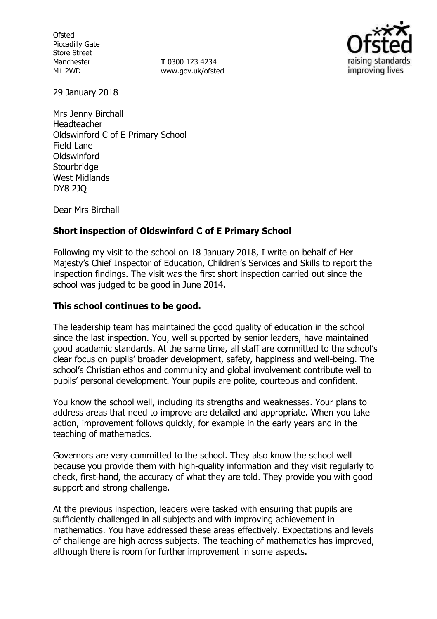**Ofsted** Piccadilly Gate Store Street Manchester M1 2WD

**T** 0300 123 4234 www.gov.uk/ofsted



29 January 2018

Mrs Jenny Birchall Headteacher Oldswinford C of E Primary School Field Lane **Oldswinford Stourbridge** West Midlands DY8 2JQ

Dear Mrs Birchall

## **Short inspection of Oldswinford C of E Primary School**

Following my visit to the school on 18 January 2018, I write on behalf of Her Majesty's Chief Inspector of Education, Children's Services and Skills to report the inspection findings. The visit was the first short inspection carried out since the school was judged to be good in June 2014.

### **This school continues to be good.**

The leadership team has maintained the good quality of education in the school since the last inspection. You, well supported by senior leaders, have maintained good academic standards. At the same time, all staff are committed to the school's clear focus on pupils' broader development, safety, happiness and well-being. The school's Christian ethos and community and global involvement contribute well to pupils' personal development. Your pupils are polite, courteous and confident.

You know the school well, including its strengths and weaknesses. Your plans to address areas that need to improve are detailed and appropriate. When you take action, improvement follows quickly, for example in the early years and in the teaching of mathematics.

Governors are very committed to the school. They also know the school well because you provide them with high-quality information and they visit regularly to check, first-hand, the accuracy of what they are told. They provide you with good support and strong challenge.

At the previous inspection, leaders were tasked with ensuring that pupils are sufficiently challenged in all subjects and with improving achievement in mathematics. You have addressed these areas effectively. Expectations and levels of challenge are high across subjects. The teaching of mathematics has improved, although there is room for further improvement in some aspects.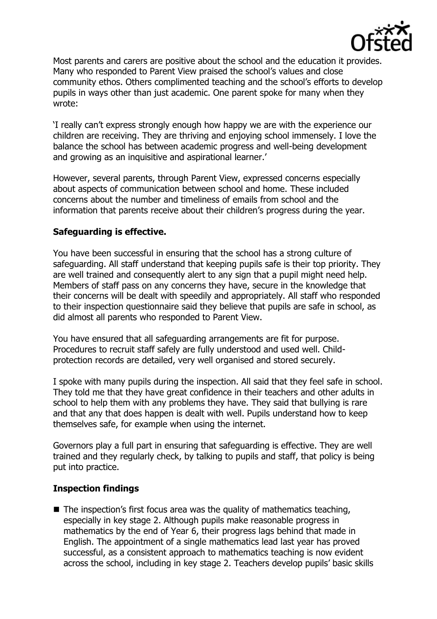

Most parents and carers are positive about the school and the education it provides. Many who responded to Parent View praised the school's values and close community ethos. Others complimented teaching and the school's efforts to develop pupils in ways other than just academic. One parent spoke for many when they wrote:

'I really can't express strongly enough how happy we are with the experience our children are receiving. They are thriving and enjoying school immensely. I love the balance the school has between academic progress and well-being development and growing as an inquisitive and aspirational learner.'

However, several parents, through Parent View, expressed concerns especially about aspects of communication between school and home. These included concerns about the number and timeliness of emails from school and the information that parents receive about their children's progress during the year.

# **Safeguarding is effective.**

You have been successful in ensuring that the school has a strong culture of safeguarding. All staff understand that keeping pupils safe is their top priority. They are well trained and consequently alert to any sign that a pupil might need help. Members of staff pass on any concerns they have, secure in the knowledge that their concerns will be dealt with speedily and appropriately. All staff who responded to their inspection questionnaire said they believe that pupils are safe in school, as did almost all parents who responded to Parent View.

You have ensured that all safeguarding arrangements are fit for purpose. Procedures to recruit staff safely are fully understood and used well. Childprotection records are detailed, very well organised and stored securely.

I spoke with many pupils during the inspection. All said that they feel safe in school. They told me that they have great confidence in their teachers and other adults in school to help them with any problems they have. They said that bullying is rare and that any that does happen is dealt with well. Pupils understand how to keep themselves safe, for example when using the internet.

Governors play a full part in ensuring that safeguarding is effective. They are well trained and they regularly check, by talking to pupils and staff, that policy is being put into practice.

### **Inspection findings**

 $\blacksquare$  The inspection's first focus area was the quality of mathematics teaching, especially in key stage 2. Although pupils make reasonable progress in mathematics by the end of Year 6, their progress lags behind that made in English. The appointment of a single mathematics lead last year has proved successful, as a consistent approach to mathematics teaching is now evident across the school, including in key stage 2. Teachers develop pupils' basic skills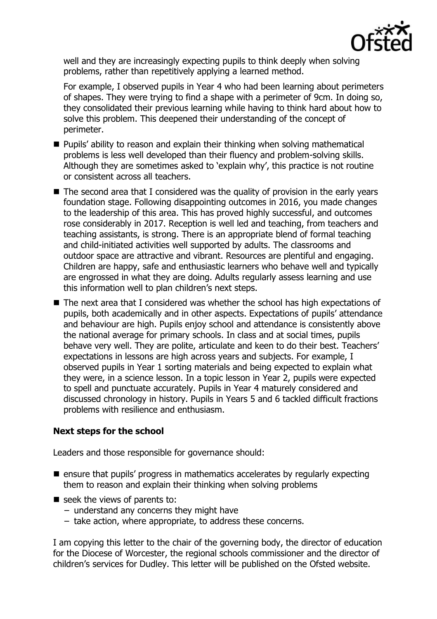

well and they are increasingly expecting pupils to think deeply when solving problems, rather than repetitively applying a learned method.

For example, I observed pupils in Year 4 who had been learning about perimeters of shapes. They were trying to find a shape with a perimeter of 9cm. In doing so, they consolidated their previous learning while having to think hard about how to solve this problem. This deepened their understanding of the concept of perimeter.

- **Pupils'** ability to reason and explain their thinking when solving mathematical problems is less well developed than their fluency and problem-solving skills. Although they are sometimes asked to 'explain why', this practice is not routine or consistent across all teachers.
- The second area that I considered was the quality of provision in the early years foundation stage. Following disappointing outcomes in 2016, you made changes to the leadership of this area. This has proved highly successful, and outcomes rose considerably in 2017. Reception is well led and teaching, from teachers and teaching assistants, is strong. There is an appropriate blend of formal teaching and child-initiated activities well supported by adults. The classrooms and outdoor space are attractive and vibrant. Resources are plentiful and engaging. Children are happy, safe and enthusiastic learners who behave well and typically are engrossed in what they are doing. Adults regularly assess learning and use this information well to plan children's next steps.
- The next area that I considered was whether the school has high expectations of pupils, both academically and in other aspects. Expectations of pupils' attendance and behaviour are high. Pupils enjoy school and attendance is consistently above the national average for primary schools. In class and at social times, pupils behave very well. They are polite, articulate and keen to do their best. Teachers' expectations in lessons are high across years and subjects. For example, I observed pupils in Year 1 sorting materials and being expected to explain what they were, in a science lesson. In a topic lesson in Year 2, pupils were expected to spell and punctuate accurately. Pupils in Year 4 maturely considered and discussed chronology in history. Pupils in Years 5 and 6 tackled difficult fractions problems with resilience and enthusiasm.

### **Next steps for the school**

Leaders and those responsible for governance should:

- $\blacksquare$  ensure that pupils' progress in mathematics accelerates by regularly expecting them to reason and explain their thinking when solving problems
- $\blacksquare$  seek the views of parents to:
	- − understand any concerns they might have
	- − take action, where appropriate, to address these concerns.

I am copying this letter to the chair of the governing body, the director of education for the Diocese of Worcester, the regional schools commissioner and the director of children's services for Dudley. This letter will be published on the Ofsted website.